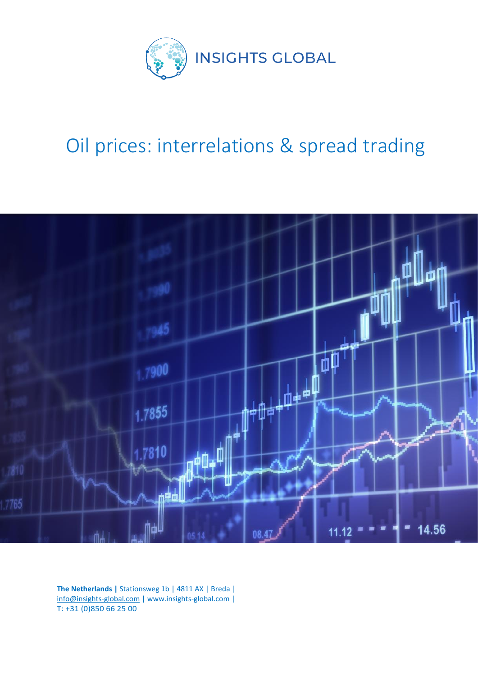

# Oil prices: interrelations & spread trading



**The Netherlands |** Stationsweg 1b | 4811 AX | Breda | info@insights-global.com | www.insights-global.com | T: +31 (0)850 66 25 00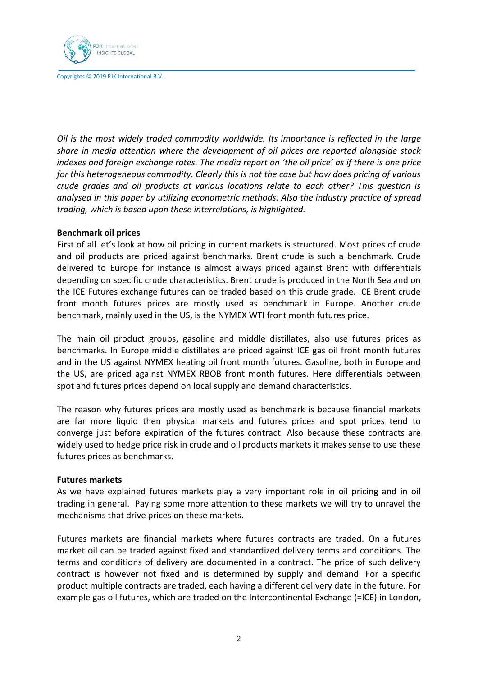

*Oil is the most widely traded commodity worldwide. Its importance is reflected in the large share in media attention where the development of oil prices are reported alongside stock indexes and foreign exchange rates. The media report on 'the oil price' as if there is one price for this heterogeneous commodity. Clearly this is not the case but how does pricing of various crude grades and oil products at various locations relate to each other? This question is analysed in this paper by utilizing econometric methods. Also the industry practice of spread trading, which is based upon these interrelations, is highlighted.* 

## **Benchmark oil prices**

First of all let's look at how oil pricing in current markets is structured. Most prices of crude and oil products are priced against benchmarks. Brent crude is such a benchmark. Crude delivered to Europe for instance is almost always priced against Brent with differentials depending on specific crude characteristics. Brent crude is produced in the North Sea and on the ICE Futures exchange futures can be traded based on this crude grade. ICE Brent crude front month futures prices are mostly used as benchmark in Europe. Another crude benchmark, mainly used in the US, is the NYMEX WTI front month futures price.

The main oil product groups, gasoline and middle distillates, also use futures prices as benchmarks. In Europe middle distillates are priced against ICE gas oil front month futures and in the US against NYMEX heating oil front month futures. Gasoline, both in Europe and the US, are priced against NYMEX RBOB front month futures. Here differentials between spot and futures prices depend on local supply and demand characteristics.

The reason why futures prices are mostly used as benchmark is because financial markets are far more liquid then physical markets and futures prices and spot prices tend to converge just before expiration of the futures contract. Also because these contracts are widely used to hedge price risk in crude and oil products markets it makes sense to use these futures prices as benchmarks.

### **Futures markets**

As we have explained futures markets play a very important role in oil pricing and in oil trading in general. Paying some more attention to these markets we will try to unravel the mechanisms that drive prices on these markets.

Futures markets are financial markets where futures contracts are traded. On a futures market oil can be traded against fixed and standardized delivery terms and conditions. The terms and conditions of delivery are documented in a contract. The price of such delivery contract is however not fixed and is determined by supply and demand. For a specific product multiple contracts are traded, each having a different delivery date in the future. For example gas oil futures, which are traded on the Intercontinental Exchange (=ICE) in London,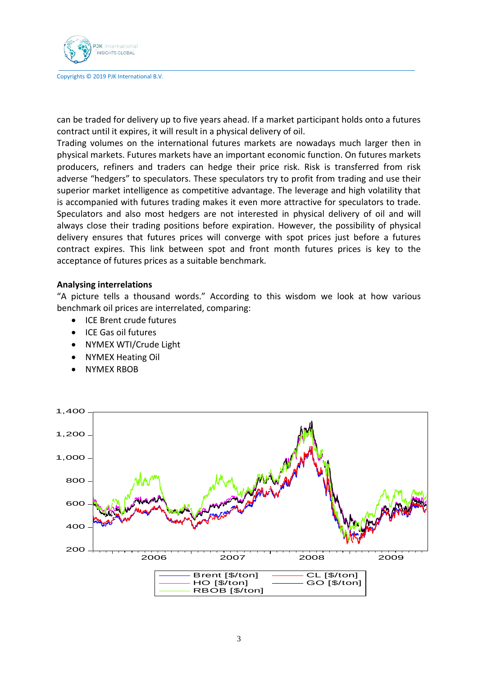

can be traded for delivery up to five years ahead. If a market participant holds onto a futures contract until it expires, it will result in a physical delivery of oil.

Trading volumes on the international futures markets are nowadays much larger then in physical markets. Futures markets have an important economic function. On futures markets producers, refiners and traders can hedge their price risk. Risk is transferred from risk adverse "hedgers" to speculators. These speculators try to profit from trading and use their superior market intelligence as competitive advantage. The leverage and high volatility that is accompanied with futures trading makes it even more attractive for speculators to trade. Speculators and also most hedgers are not interested in physical delivery of oil and will always close their trading positions before expiration. However, the possibility of physical delivery ensures that futures prices will converge with spot prices just before a futures contract expires. This link between spot and front month futures prices is key to the acceptance of futures prices as a suitable benchmark.

## **Analysing interrelations**

"A picture tells a thousand words." According to this wisdom we look at how various benchmark oil prices are interrelated, comparing:

- ICE Brent crude futures
- ICE Gas oil futures
- NYMEX WTI/Crude Light
- NYMEX Heating Oil
- NYMEX RBOB

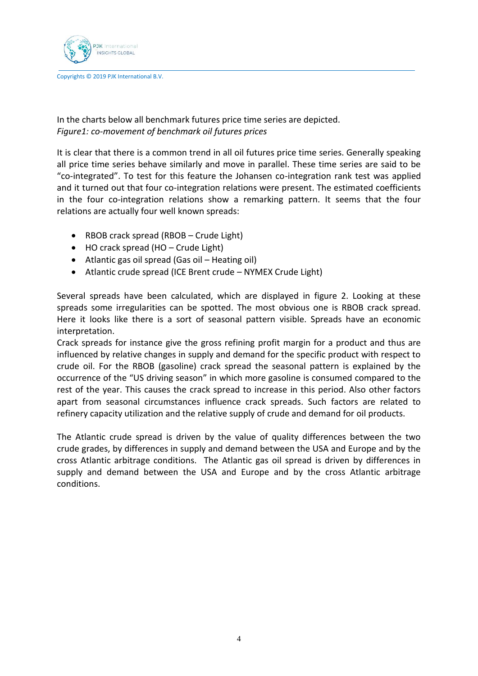

In the charts below all benchmark futures price time series are depicted. *Figure1: co-movement of benchmark oil futures prices*

It is clear that there is a common trend in all oil futures price time series. Generally speaking all price time series behave similarly and move in parallel. These time series are said to be "co-integrated". To test for this feature the Johansen co-integration rank test was applied and it turned out that four co-integration relations were present. The estimated coefficients in the four co-integration relations show a remarking pattern. It seems that the four relations are actually four well known spreads:

- RBOB crack spread (RBOB Crude Light)
- HO crack spread (HO Crude Light)
- Atlantic gas oil spread (Gas oil Heating oil)
- Atlantic crude spread (ICE Brent crude NYMEX Crude Light)

Several spreads have been calculated, which are displayed in figure 2. Looking at these spreads some irregularities can be spotted. The most obvious one is RBOB crack spread. Here it looks like there is a sort of seasonal pattern visible. Spreads have an economic interpretation.

Crack spreads for instance give the gross refining profit margin for a product and thus are influenced by relative changes in supply and demand for the specific product with respect to crude oil. For the RBOB (gasoline) crack spread the seasonal pattern is explained by the occurrence of the "US driving season" in which more gasoline is consumed compared to the rest of the year. This causes the crack spread to increase in this period. Also other factors apart from seasonal circumstances influence crack spreads. Such factors are related to refinery capacity utilization and the relative supply of crude and demand for oil products.

The Atlantic crude spread is driven by the value of quality differences between the two crude grades, by differences in supply and demand between the USA and Europe and by the cross Atlantic arbitrage conditions. The Atlantic gas oil spread is driven by differences in supply and demand between the USA and Europe and by the cross Atlantic arbitrage conditions.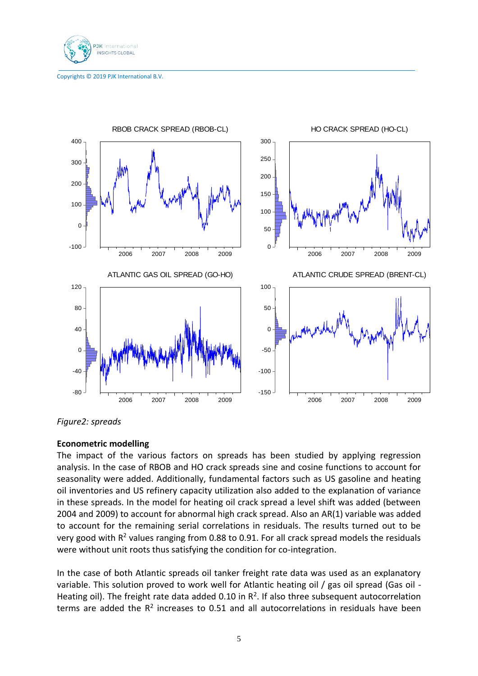



*Figure2: spreads*

## **Econometric modelling**

The impact of the various factors on spreads has been studied by applying regression analysis. In the case of RBOB and HO crack spreads sine and cosine functions to account for seasonality were added. Additionally, fundamental factors such as US gasoline and heating oil inventories and US refinery capacity utilization also added to the explanation of variance in these spreads. In the model for heating oil crack spread a level shift was added (between 2004 and 2009) to account for abnormal high crack spread. Also an AR(1) variable was added to account for the remaining serial correlations in residuals. The results turned out to be very good with  $R^2$  values ranging from 0.88 to 0.91. For all crack spread models the residuals were without unit roots thus satisfying the condition for co-integration.

In the case of both Atlantic spreads oil tanker freight rate data was used as an explanatory variable. This solution proved to work well for Atlantic heating oil / gas oil spread (Gas oil - Heating oil). The freight rate data added 0.10 in  $R^2$ . If also three subsequent autocorrelation terms are added the  $R^2$  increases to 0.51 and all autocorrelations in residuals have been